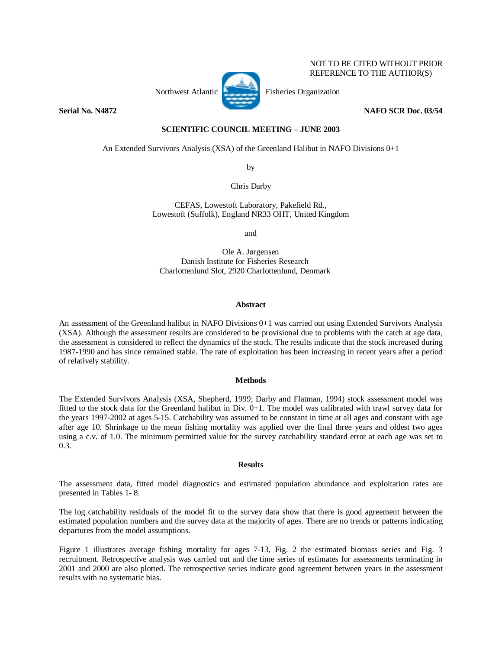

NOT TO BE CITED WITHOUT PRIOR REFERENCE TO THE AUTHOR(S)

**Serial No. N4872 NAFO SCR Doc. 03/54** 

# **SCIENTIFIC COUNCIL MEETING – JUNE 2003**

An Extended Survivors Analysis (XSA) of the Greenland Halibut in NAFO Divisions 0+1

by

Chris Darby

CEFAS, Lowestoft Laboratory, Pakefield Rd., Lowestoft (Suffolk), England NR33 OHT, United Kingdom

and

Ole A. Jørgensen Danish Institute for Fisheries Research Charlottenlund Slot, 2920 Charlottenlund, Denmark

## **Abstract**

An assessment of the Greenland halibut in NAFO Divisions 0+1 was carried out using Extended Survivors Analysis (XSA). Although the assessment results are considered to be provisional due to problems with the catch at age data, the assessment is considered to reflect the dynamics of the stock. The results indicate that the stock increased during 1987-1990 and has since remained stable. The rate of exploitation has been increasing in recent years after a period of relatively stability.

## **Methods**

The Extended Survivors Analysis (XSA, Shepherd, 1999; Darby and Flatman, 1994) stock assessment model was fitted to the stock data for the Greenland halibut in Div. 0+1. The model was calibrated with trawl survey data for the years 1997-2002 at ages 5-15. Catchability was assumed to be constant in time at all ages and constant with age after age 10. Shrinkage to the mean fishing mortality was applied over the final three years and oldest two ages using a c.v. of 1.0. The minimum permitted value for the survey catchability standard error at each age was set to 0.3.

## **Results**

The assessment data, fitted model diagnostics and estimated population abundance and exploitation rates are presented in Tables 1- 8.

The log catchability residuals of the model fit to the survey data show that there is good agreement between the estimated population numbers and the survey data at the majority of ages. There are no trends or patterns indicating departures from the model assumptions.

Figure 1 illustrates average fishing mortality for ages 7-13, Fig. 2 the estimated biomass series and Fig. 3 recruitment. Retrospective analysis was carried out and the time series of estimates for assessments terminating in 2001 and 2000 are also plotted. The retrospective series indicate good agreement between years in the assessment results with no systematic bias.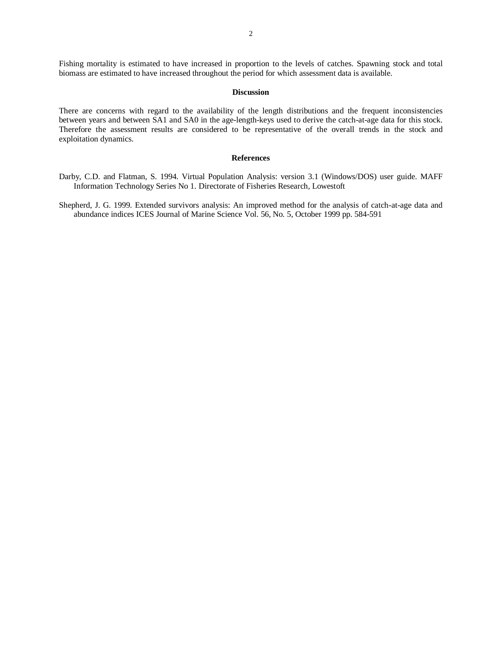Fishing mortality is estimated to have increased in proportion to the levels of catches. Spawning stock and total biomass are estimated to have increased throughout the period for which assessment data is available.

### **Discussion**

There are concerns with regard to the availability of the length distributions and the frequent inconsistencies between years and between SA1 and SA0 in the age-length-keys used to derive the catch-at-age data for this stock. Therefore the assessment results are considered to be representative of the overall trends in the stock and exploitation dynamics.

#### **References**

- Darby, C.D. and Flatman, S. 1994. Virtual Population Analysis: version 3.1 (Windows/DOS) user guide. MAFF Information Technology Series No 1. Directorate of Fisheries Research, Lowestoft
- Shepherd, J. G. 1999. Extended survivors analysis: An improved method for the analysis of catch-at-age data and abundance indices ICES Journal of Marine Science Vol. 56, No. 5, October 1999 pp. 584-591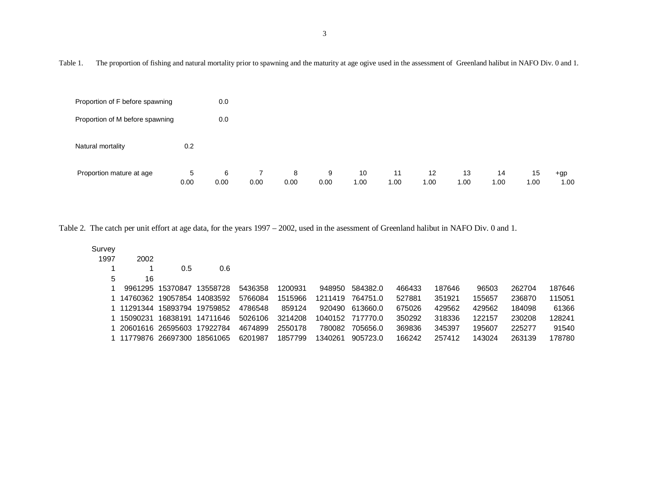Table 1. The proportion of fishing and natural mortality prior to spawning and the maturity at age ogive used in the assessment of Greenland halibut in NAFO Div. 0 and 1.

| Proportion of F before spawning |           | 0.0       |      |           |           |            |            |            |            |            |            |               |
|---------------------------------|-----------|-----------|------|-----------|-----------|------------|------------|------------|------------|------------|------------|---------------|
| Proportion of M before spawning |           | 0.0       |      |           |           |            |            |            |            |            |            |               |
| Natural mortality               | 0.2       |           |      |           |           |            |            |            |            |            |            |               |
| Proportion mature at age        | 5<br>0.00 | 6<br>0.00 | 0.00 | 8<br>0.00 | 9<br>0.00 | 10<br>1.00 | 11<br>1.00 | 12<br>1.00 | 13<br>1.00 | 14<br>1.00 | 15<br>1.00 | $+gp$<br>1.00 |

Table 2. The catch per unit effort at age data, for the years 1997 – 2002, used in the asessment of Greenland halibut in NAFO Div. 0 and 1.

| Survey |                   |                   |          |         |         |         |          |        |        |        |        |        |
|--------|-------------------|-------------------|----------|---------|---------|---------|----------|--------|--------|--------|--------|--------|
| 1997   | 2002              |                   |          |         |         |         |          |        |        |        |        |        |
|        |                   | 0.5               | 0.6      |         |         |         |          |        |        |        |        |        |
| 5      | 16                |                   |          |         |         |         |          |        |        |        |        |        |
|        |                   | 9961295 15370847  | 13558728 | 5436358 | 1200931 | 948950  | 584382.0 | 466433 | 187646 | 96503  | 262704 | 187646 |
|        | 14760362          | 19057854          | 14083592 | 5766084 | 1515966 | 1211419 | 764751.0 | 527881 | 351921 | 155657 | 236870 | 115051 |
|        | 11291344          | 15893794          | 19759852 | 4786548 | 859124  | 920490  | 613660.0 | 675026 | 429562 | 429562 | 184098 | 61366  |
|        | 15090231          | 16838191          | 14711646 | 5026106 | 3214208 | 1040152 | 717770.0 | 350292 | 318336 | 122157 | 230208 | 128241 |
|        |                   | 20601616 26595603 | 17922784 | 4674899 | 2550178 | 780082  | 705656.0 | 369836 | 345397 | 195607 | 225277 | 91540  |
|        | 11779876 26697300 |                   | 18561065 | 6201987 | 1857799 | 1340261 | 905723.0 | 166242 | 257412 | 143024 | 263139 | 178780 |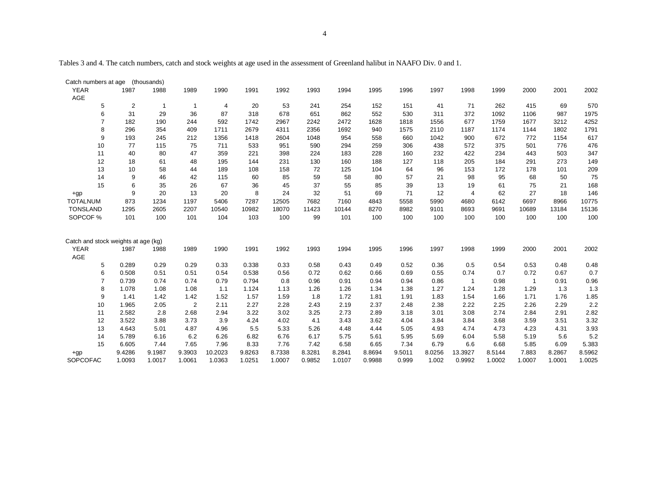4

Tables 3 and 4. The catch numbers, catch and stock weights at age used in the assessment of Greenland halibut in NAAFO Div. 0 and 1.

| Catch numbers at age                               |                | (thousands)  |                |                |        |        |        |        |        |        |        |                |        |                |        |        |
|----------------------------------------------------|----------------|--------------|----------------|----------------|--------|--------|--------|--------|--------|--------|--------|----------------|--------|----------------|--------|--------|
| <b>YEAR</b>                                        | 1987           | 1988         | 1989           | 1990           | 1991   | 1992   | 1993   | 1994   | 1995   | 1996   | 1997   | 1998           | 1999   | 2000           | 2001   | 2002   |
| AGE                                                |                |              |                |                |        |        |        |        |        |        |        |                |        |                |        |        |
| 5                                                  | $\overline{c}$ | $\mathbf{1}$ | $\overline{1}$ | $\overline{4}$ | 20     | 53     | 241    | 254    | 152    | 151    | 41     | 71             | 262    | 415            | 69     | 570    |
| 6                                                  | 31             | 29           | 36             | 87             | 318    | 678    | 651    | 862    | 552    | 530    | 311    | 372            | 1092   | 1106           | 987    | 1975   |
| $\overline{7}$                                     | 182            | 190          | 244            | 592            | 1742   | 2967   | 2242   | 2472   | 1628   | 1818   | 1556   | 677            | 1759   | 1677           | 3212   | 4252   |
| 8                                                  | 296            | 354          | 409            | 1711           | 2679   | 4311   | 2356   | 1692   | 940    | 1575   | 2110   | 1187           | 1174   | 1144           | 1802   | 1791   |
| 9                                                  | 193            | 245          | 212            | 1356           | 1418   | 2604   | 1048   | 954    | 558    | 660    | 1042   | 900            | 672    | 772            | 1154   | 617    |
| 10                                                 | 77             | 115          | 75             | 711            | 533    | 951    | 590    | 294    | 259    | 306    | 438    | 572            | 375    | 501            | 776    | 476    |
| 11                                                 | 40             | 80           | 47             | 359            | 221    | 398    | 224    | 183    | 228    | 160    | 232    | 422            | 234    | 443            | 503    | 347    |
| 12                                                 | 18             | 61           | 48             | 195            | 144    | 231    | 130    | 160    | 188    | 127    | 118    | 205            | 184    | 291            | 273    | 149    |
| 13                                                 | 10             | 58           | 44             | 189            | 108    | 158    | 72     | 125    | 104    | 64     | 96     | 153            | 172    | 178            | 101    | 209    |
| 14                                                 | 9              | 46           | 42             | 115            | 60     | 85     | 59     | 58     | 80     | 57     | 21     | 98             | 95     | 68             | 50     | 75     |
| 15                                                 | 6              | 35           | 26             | 67             | 36     | 45     | 37     | 55     | 85     | 39     | 13     | 19             | 61     | 75             | 21     | 168    |
| $+qp$                                              | 9              | 20           | 13             | 20             | 8      | 24     | 32     | 51     | 69     | 71     | 12     | $\overline{4}$ | 62     | 27             | 18     | 146    |
| <b>TOTALNUM</b>                                    | 873            | 1234         | 1197           | 5406           | 7287   | 12505  | 7682   | 7160   | 4843   | 5558   | 5990   | 4680           | 6142   | 6697           | 8966   | 10775  |
| <b>TONSLAND</b>                                    | 1295           | 2605         | 2207           | 10540          | 10982  | 18070  | 11423  | 10144  | 8270   | 8982   | 9101   | 8693           | 9691   | 10689          | 13184  | 15136  |
| SOPCOF %                                           | 101            | 100          | 101            | 104            | 103    | 100    | 99     | 101    | 100    | 100    | 100    | 100            | 100    | 100            | 100    | 100    |
|                                                    |                |              |                |                |        |        |        |        |        |        |        |                |        |                |        |        |
| Catch and stock weights at age (kg)<br><b>YEAR</b> | 1987           | 1988         | 1989           | 1990           | 1991   | 1992   | 1993   | 1994   | 1995   | 1996   | 1997   | 1998           | 1999   | 2000           | 2001   | 2002   |
| AGE                                                |                |              |                |                |        |        |        |        |        |        |        |                |        |                |        |        |
| 5                                                  | 0.289          | 0.29         | 0.29           | 0.33           | 0.338  | 0.33   | 0.58   | 0.43   | 0.49   | 0.52   | 0.36   | 0.5            | 0.54   | 0.53           | 0.48   | 0.48   |
| 6                                                  | 0.508          | 0.51         | 0.51           | 0.54           | 0.538  | 0.56   | 0.72   | 0.62   | 0.66   | 0.69   | 0.55   | 0.74           | 0.7    | 0.72           | 0.67   | 0.7    |
| $\overline{7}$                                     | 0.739          | 0.74         | 0.74           | 0.79           | 0.794  | 0.8    | 0.96   | 0.91   | 0.94   | 0.94   | 0.86   | $\overline{1}$ | 0.98   | $\overline{1}$ | 0.91   | 0.96   |
| 8                                                  | 1.078          | 1.08         | 1.08           | 1.1            | 1.124  | 1.13   | 1.26   | 1.26   | 1.34   | 1.38   | 1.27   | 1.24           | 1.28   | 1.29           | 1.3    | 1.3    |
| 9                                                  | 1.41           | 1.42         | 1.42           | 1.52           | 1.57   | 1.59   | 1.8    | 1.72   | 1.81   | 1.91   | 1.83   | 1.54           | 1.66   | 1.71           | 1.76   | 1.85   |
| 10                                                 | 1.965          | 2.05         | $\overline{2}$ | 2.11           | 2.27   | 2.28   | 2.43   | 2.19   | 2.37   | 2.48   | 2.38   | 2.22           | 2.25   | 2.26           | 2.29   | 2.2    |
| 11                                                 | 2.582          | 2.8          | 2.68           | 2.94           | 3.22   | 3.02   | 3.25   | 2.73   | 2.89   | 3.18   | 3.01   | 3.08           | 2.74   | 2.84           | 2.91   | 2.82   |
| 12                                                 | 3.522          | 3.88         | 3.73           | 3.9            | 4.24   | 4.02   | 4.1    | 3.43   | 3.62   | 4.04   | 3.84   | 3.84           | 3.68   | 3.59           | 3.51   | 3.32   |
| 13                                                 | 4.643          | 5.01         | 4.87           | 4.96           | 5.5    | 5.33   | 5.26   | 4.48   | 4.44   | 5.05   | 4.93   | 4.74           | 4.73   | 4.23           | 4.31   | 3.93   |
| 14                                                 | 5.789          | 6.16         | 6.2            | 6.26           | 6.82   | 6.76   | 6.17   | 5.75   | 5.61   | 5.95   | 5.69   | 6.04           | 5.58   | 5.19           | 5.6    | 5.2    |
| 15                                                 | 6.605          | 7.44         | 7.65           | 7.96           | 8.33   | 7.76   | 7.42   | 6.58   | 6.65   | 7.34   | 6.79   | 6.6            | 6.68   | 5.85           | 6.09   | 5.383  |
| $+qp$                                              | 9.4286         | 9.1987       | 9.3903         | 10.2023        | 9.8263 | 8.7338 | 8.3281 | 8.2841 | 8.8694 | 9.5011 | 8.0256 | 13.3927        | 8.5144 | 7.883          | 8.2867 | 8.5962 |
| <b>SOPCOFAC</b>                                    | 1.0093         | 1.0017       | 1.0061         | 1.0363         | 1.0251 | 1.0007 | 0.9852 | 1.0107 | 0.9988 | 0.999  | 1.002  | 0.9992         | 1.0002 | 1.0007         | 1.0001 | 1.0025 |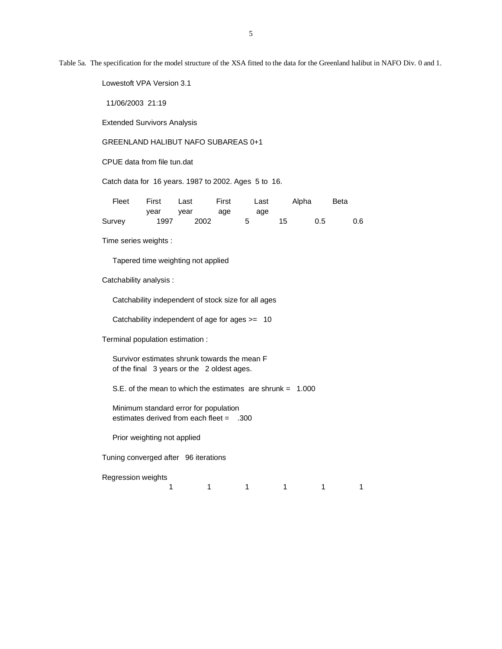Table 5a. The specification for the model structure of the XSA fitted to the data for the Greenland halibut in NAFO Div. 0 and 1.

Lowestoft VPA Version 3.1

11/06/2003 21:19

Extended Survivors Analysis

GREENLAND HALIBUT NAFO SUBAREAS 0+1

CPUE data from file tun.dat

Catch data for 16 years. 1987 to 2002. Ages 5 to 16.

| Fleet  | First | Last | First | Last | Alpha |     | <b>Beta</b> |
|--------|-------|------|-------|------|-------|-----|-------------|
|        | vear  | vear | age   | age  |       |     |             |
| Survey | 1997  | 2002 |       | - 5  | 15    | 0.5 | 0.6         |

Time series weights :

Tapered time weighting not applied

Catchability analysis :

Catchability independent of stock size for all ages

Catchability independent of age for ages >= 10

Terminal population estimation :

 Survivor estimates shrunk towards the mean F of the final 3 years or the 2 oldest ages.

S.E. of the mean to which the estimates are shrunk = 1.000

 Minimum standard error for population estimates derived from each fleet = .300

Prior weighting not applied

Tuning converged after 96 iterations

Regression weights

1 1 1 1 1 1 1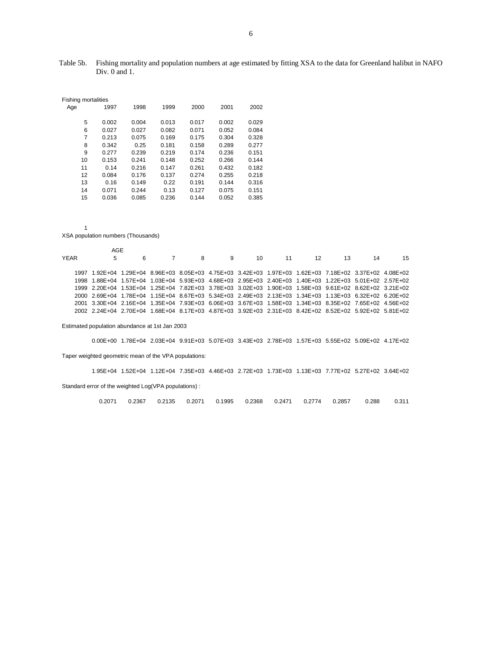| <b>Fishing mortalities</b> |   |       |       |       |       |       |       |
|----------------------------|---|-------|-------|-------|-------|-------|-------|
| Age                        |   | 1997  | 1998  | 1999  | 2000  | 2001  | 2002  |
|                            |   |       |       |       |       |       |       |
|                            | 5 | 0.002 | 0.004 | 0.013 | 0.017 | 0.002 | 0.029 |
|                            | 6 | 0.027 | 0.027 | 0.082 | 0.071 | 0.052 | 0.084 |
|                            | 7 | 0.213 | 0.075 | 0.169 | 0.175 | 0.304 | 0.328 |
|                            | 8 | 0.342 | 0.25  | 0.181 | 0.158 | 0.289 | 0.277 |
|                            | 9 | 0.277 | 0.239 | 0.219 | 0.174 | 0.236 | 0.151 |
| 10                         |   | 0.153 | 0.241 | 0.148 | 0.252 | 0.266 | 0.144 |
| 11                         |   | 0.14  | 0.216 | 0.147 | 0.261 | 0.432 | 0.182 |
| 12                         |   | 0.084 | 0.176 | 0.137 | 0.274 | 0.255 | 0.218 |
| 13                         |   | 0.16  | 0.149 | 0.22  | 0.191 | 0.144 | 0.316 |
| 14                         |   | 0.071 | 0.244 | 0.13  | 0.127 | 0.075 | 0.151 |
| 15                         |   | 0.036 | 0.085 | 0.236 | 0.144 | 0.052 | 0.385 |

1

XSA population numbers (Thousands)

|      | AGE                                                                                                     |  |  |  |                     |    |    |
|------|---------------------------------------------------------------------------------------------------------|--|--|--|---------------------|----|----|
| YFAR | 5                                                                                                       |  |  |  | 6 7 8 9 10 11 12 13 | 14 | 15 |
|      |                                                                                                         |  |  |  |                     |    |    |
|      | 1997 1.92E+04 1.29E+04 8.96E+03 8.05E+03 4.75E+03 3.42E+03 1.97E+03 1.62E+03 7.18E+02 3.37E+02 4.08E+02 |  |  |  |                     |    |    |
|      | 1998 1.88E+04 1.57E+04 1.03E+04 5.93E+03 4.68E+03 2.95E+03 2.40E+03 1.40E+03 1.22E+03 5.01E+02 2.57E+02 |  |  |  |                     |    |    |
|      | 1999 2.20E+04 1.53E+04 1.25E+04 7.82E+03 3.78E+03 3.02E+03 1.90E+03 1.58E+03 9.61E+02 8.62E+02 3.21E+02 |  |  |  |                     |    |    |
|      | 2000 2.69E+04 1.78E+04 1.15E+04 8.67E+03 5.34E+03 2.49E+03 2.13E+03 1.34E+03 1.13E+03 6.32E+02 6.20E+02 |  |  |  |                     |    |    |
|      | 2001 3.30E+04 2.16E+04 1.35E+04 7.93E+03 6.06E+03 3.67E+03 1.58E+03 1.34E+03 8.35E+02 7.65E+02 4.56E+02 |  |  |  |                     |    |    |
|      | 2002 2.24E+04 2.70E+04 1.68E+04 8.17E+03 4.87E+03 3.92E+03 2.31E+03 8.42E+02 8.52E+02 5.92E+02 5.81E+02 |  |  |  |                     |    |    |
|      |                                                                                                         |  |  |  |                     |    |    |

Estimated population abundance at 1st Jan 2003

0.00E+00 1.78E+04 2.03E+04 9.91E+03 5.07E+03 3.43E+03 2.78E+03 1.57E+03 5.55E+02 5.09E+02 4.17E+02

Taper weighted geometric mean of the VPA populations:

 1.95E+04 1.52E+04 1.12E+04 7.35E+03 4.46E+03 2.72E+03 1.73E+03 1.13E+03 7.77E+02 5.27E+02 3.64E+02 Standard error of the weighted Log(VPA populations) :

0.2071 0.2367 0.2135 0.2071 0.1995 0.2368 0.2471 0.2774 0.2857 0.288 0.311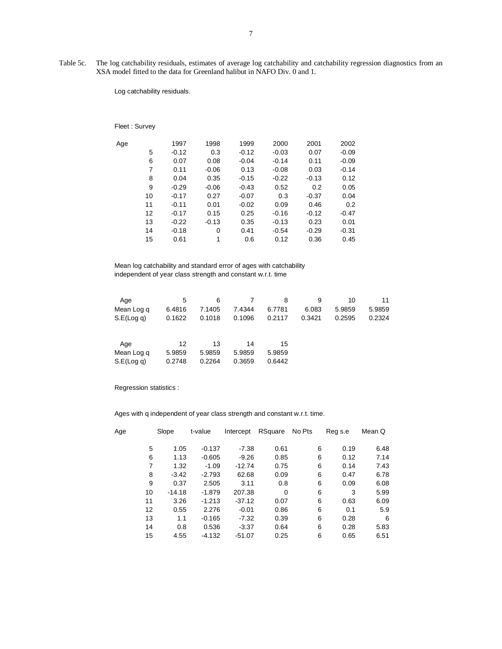Table 5c. The log catchability residuals, estimates of average log catchability and catchability regression diagnostics from an XSA model fitted to the data for Greenland halibut in NAFO Div. 0 and 1.

Log catchability residuals.

# Fleet : Survey

| Age |    | 1997    | 1998    | 1999    | 2000    | 2001    | 2002    |
|-----|----|---------|---------|---------|---------|---------|---------|
|     | 5  | $-0.12$ | 0.3     | $-0.12$ | $-0.03$ | 0.07    | $-0.09$ |
|     | 6  | 0.07    | 0.08    | $-0.04$ | $-0.14$ | 0.11    | $-0.09$ |
|     | 7  | 0.11    | $-0.06$ | 0.13    | $-0.08$ | 0.03    | $-0.14$ |
|     | 8  | 0.04    | 0.35    | $-0.15$ | $-0.22$ | $-0.13$ | 0.12    |
|     | 9  | $-0.29$ | $-0.06$ | $-0.43$ | 0.52    | 0.2     | 0.05    |
|     | 10 | $-0.17$ | 0.27    | $-0.07$ | 0.3     | $-0.37$ | 0.04    |
|     | 11 | $-0.11$ | 0.01    | $-0.02$ | 0.09    | 0.46    | 0.2     |
|     | 12 | $-0.17$ | 0.15    | 0.25    | $-0.16$ | $-0.12$ | $-0.47$ |
|     | 13 | $-0.22$ | $-0.13$ | 0.35    | $-0.13$ | 0.23    | 0.01    |
|     | 14 | $-0.18$ | 0       | 0.41    | $-0.54$ | $-0.29$ | $-0.31$ |
|     | 15 | 0.61    | 1       | 0.6     | 0.12    | 0.36    | 0.45    |

 Mean log catchability and standard error of ages with catchability independent of year class strength and constant w.r.t. time

| Age              | 5      | 6      |        | 8      | 9      | 10     | 11     |
|------------------|--------|--------|--------|--------|--------|--------|--------|
| Mean Log q       | 6.4816 | 7.1405 | 7.4344 | 6.7781 | 6.083  | 5.9859 | 5.9859 |
| $S.E($ Log q $)$ | 0.1622 | 0.1018 | 0.1096 | 0.2117 | 0.3421 | 0.2595 | 0.2324 |
| Age              | 12     | 13     | 14     | 15     |        |        |        |
| Mean Log q       | 5.9859 | 5.9859 | 5.9859 | 5.9859 |        |        |        |
| S.E(Log q)       | 0.2748 | 0.2264 | 0.3659 | 0.6442 |        |        |        |

Regression statistics :

Ages with q independent of year class strength and constant w.r.t. time.

| Age | Slope    | t-value  | Intercept | RSquare | No Pts | Reg s.e | Mean Q |
|-----|----------|----------|-----------|---------|--------|---------|--------|
| 5   | 1.05     | $-0.137$ | $-7.38$   | 0.61    | 6      | 0.19    | 6.48   |
| 6   | 1.13     | $-0.605$ | $-9.26$   | 0.85    | 6      | 0.12    | 7.14   |
| 7   | 1.32     | $-1.09$  | $-12.74$  | 0.75    | 6      | 0.14    | 7.43   |
| 8   | $-3.42$  | $-2.793$ | 62.68     | 0.09    | 6      | 0.47    | 6.78   |
| 9   | 0.37     | 2.505    | 3.11      | 0.8     | 6      | 0.09    | 6.08   |
| 10  | $-14.18$ | $-1.879$ | 207.38    | 0       | 6      | 3       | 5.99   |
| 11  | 3.26     | $-1.213$ | $-37.12$  | 0.07    | 6      | 0.63    | 6.09   |
| 12  | 0.55     | 2.276    | $-0.01$   | 0.86    | 6      | 0.1     | 5.9    |
| 13  | 1.1      | $-0.165$ | $-7.32$   | 0.39    | 6      | 0.28    | 6      |
| 14  | 0.8      | 0.536    | $-3.37$   | 0.64    | 6      | 0.28    | 5.83   |
| 15  | 4.55     | $-4.132$ | $-51.07$  | 0.25    | 6      | 0.65    | 6.51   |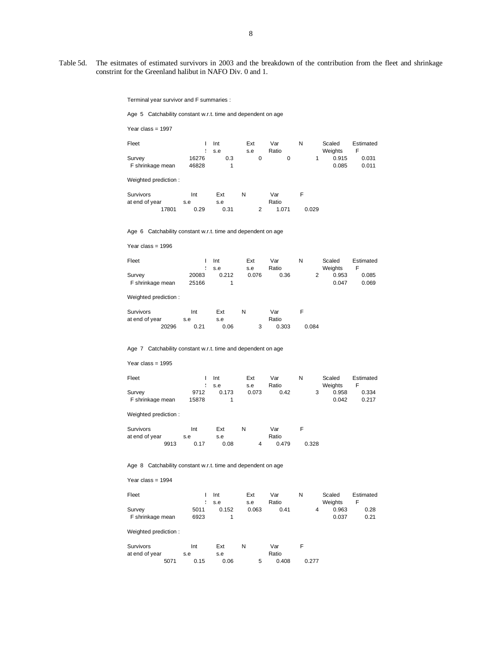Table 5d. The esitmates of estimated survivors in 2003 and the breakdown of the contribution from the fleet and shrinkage constrint for the Greenland halibut in NAFO Div. 0 and 1.

Terminal year survivor and F summaries :

Age 5 Catchability constant w.r.t. time and dependent on age

Year class = 1997

| Fleet                      |                | Int<br>s.e | Ext<br>s.e | Var<br>Ratio | N | Scaled<br>Weights | Estimated<br>F |
|----------------------------|----------------|------------|------------|--------------|---|-------------------|----------------|
| Survey<br>F shrinkage mean | 16276<br>46828 | 0.3        | 0          |              | 0 | 0.915<br>0.085    | 0.031<br>0.011 |
| Weighted prediction:       |                |            |            |              |   |                   |                |

| Survivors      |       | Int |      | Ext  | N | Var   |       |
|----------------|-------|-----|------|------|---|-------|-------|
| at end of year |       | s.e |      | s.e  |   | Ratio |       |
|                | 17801 |     | 0.29 | 0.31 |   | 1.071 | 0.029 |

Age 6 Catchability constant w.r.t. time and dependent on age

```
 Year class = 1996
```

| Fleet            |       | Int   | Ext   | Var   | N | Scaled  | Estimated |
|------------------|-------|-------|-------|-------|---|---------|-----------|
|                  |       | : s.e | s.e   | Ratio |   | Weights |           |
| Survey           | 20083 | 0.212 | 0.076 | 0.36  |   | 0.953   | 0.085     |
| F shrinkage mean | 25166 |       |       |       |   | 0.047   | 0.069     |

Weighted prediction :

| Survivors      | Int  | Ext  | N | Var   |       |
|----------------|------|------|---|-------|-------|
| at end of year | s.e  | s.e  |   | Ratio |       |
| 20296          | 0.21 | 0.06 |   | 0.303 | 0.084 |

#### Age 7 Catchability constant w.r.t. time and dependent on age

Year class = 1995

| Fleet            |       | Int   | Ext   | Var   | N | Scaled  | Estimated |
|------------------|-------|-------|-------|-------|---|---------|-----------|
|                  |       | s.e   | s.e   | Ratio |   | Weights | F         |
| Survey           | 9712  | 0.173 | 0.073 | 0.42  |   | 0.958   | 0.334     |
| F shrinkage mean | 15878 |       |       |       |   | 0.042   | 0.217     |

Weighted prediction :

| Survivors      |      | Int  | Ext  |   | Var   |       |
|----------------|------|------|------|---|-------|-------|
| at end of year |      | s.e  | s.e  |   | Ratio |       |
|                | 9913 | 0.17 | 0.08 | Δ | 0.479 | 0.328 |

Age 8 Catchability constant w.r.t. time and dependent on age

#### Year class = 1994

| Fleet            |      | Int   | Ext   | Var   | N |   | Scaled  | Estimated |
|------------------|------|-------|-------|-------|---|---|---------|-----------|
|                  |      | s.e   | s.e   | Ratio |   |   | Weights |           |
| Survey           | 5011 | 0.152 | 0.063 | 0.41  |   | Δ | 0.963   | 0.28      |
| F shrinkage mean | 6923 |       |       |       |   |   | 0.037   | 0.21      |

Weighted prediction :

| Survivors      |      | Int  | Ext  | N |   | Var   |       |  |
|----------------|------|------|------|---|---|-------|-------|--|
| at end of year |      | s.e  | s.e  |   |   | Ratio |       |  |
|                | 5071 | 0.15 | 0.06 |   | 5 | 0.408 | 0.277 |  |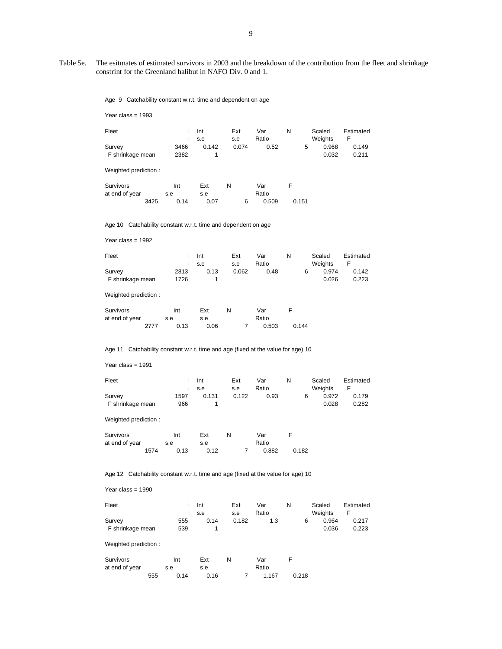Table 5e. The esitmates of estimated survivors in 2003 and the breakdown of the contribution from the fleet and shrinkage constrint for the Greenland halibut in NAFO Div. 0 and 1.

Age 9 Catchability constant w.r.t. time and dependent on age

| Year class = 1993                                                                |                                    |                                    |                     |                       |            |                                     |                                  |
|----------------------------------------------------------------------------------|------------------------------------|------------------------------------|---------------------|-----------------------|------------|-------------------------------------|----------------------------------|
| Fleet                                                                            | $\mathbf{I}$<br>ŧ                  | Int<br>s.e                         | Ext<br>s.e          | Var<br>Ratio          | N          | Scaled<br>Weights                   | Estimated<br>F                   |
| Survey<br>F shrinkage mean                                                       | 3466<br>2382                       | 0.142<br>1                         | 0.074               | 0.52                  | 5          | 0.968<br>0.032                      | 0.149<br>0.211                   |
| Weighted prediction:                                                             |                                    |                                    |                     |                       |            |                                     |                                  |
| Survivors<br>at end of year<br>3425                                              | Int<br>s.e<br>0.14                 | Ext<br>s.e<br>0.07                 | N<br>6              | Var<br>Ratio<br>0.509 | F<br>0.151 |                                     |                                  |
| Age 10 Catchability constant w.r.t. time and dependent on age                    |                                    |                                    |                     |                       |            |                                     |                                  |
| Year class = $1992$                                                              |                                    |                                    |                     |                       |            |                                     |                                  |
| Fleet<br>Survey<br>F shrinkage mean                                              | $\mathbf{I}$<br>ŧ<br>2813<br>1726  | Int<br>s.e<br>0.13<br>$\mathbf{1}$ | Ext<br>s.e<br>0.062 | Var<br>Ratio<br>0.48  | N<br>6     | Scaled<br>Weights<br>0.974<br>0.026 | Estimated<br>F<br>0.142<br>0.223 |
| Weighted prediction:                                                             |                                    |                                    |                     |                       |            |                                     |                                  |
| Survivors<br>at end of year<br>2777                                              | Int<br>s.e<br>0.13                 | Ext<br>s.e<br>0.06                 | N<br>7              | Var<br>Ratio<br>0.503 | F<br>0.144 |                                     |                                  |
| Age 11 Catchability constant w.r.t. time and age (fixed at the value for age) 10 |                                    |                                    |                     |                       |            |                                     |                                  |
| Year class = $1991$                                                              |                                    |                                    |                     |                       |            |                                     |                                  |
| Fleet<br>Survey<br>F shrinkage mean<br>Weighted prediction:                      | $\overline{1}$<br>ŧ<br>1597<br>966 | Int<br>s.e<br>0.131<br>1           | Ext<br>s.e<br>0.122 | Var<br>Ratio<br>0.93  | N<br>6     | Scaled<br>Weights<br>0.972<br>0.028 | Estimated<br>F<br>0.179<br>0.282 |
| Survivors                                                                        | Int                                | Ext                                | N                   | Var                   | F          |                                     |                                  |
| at end of year<br>1574                                                           | s.e<br>0.13                        | s.e<br>0.12                        | $\overline{7}$      | Ratio<br>0.882        | 0.182      |                                     |                                  |
| Age 12 Catchability constant w.r.t. time and age (fixed at the value for age) 10 |                                    |                                    |                     |                       |            |                                     |                                  |
| Year class = $1990$                                                              |                                    |                                    |                     |                       |            |                                     |                                  |
| Fleet                                                                            | $\mathbf{I}$<br>ŧ                  | Int<br>s.e                         | Ext<br>s.e          | Var<br>Ratio          | N          | Scaled<br>Weights                   | Estimated<br>F                   |

Weighted prediction :

| Survivors      |     | Int  | Ext  |  | Var   |       |
|----------------|-----|------|------|--|-------|-------|
| at end of year |     | s.e  | s.e  |  | Ratio |       |
|                | 555 | 0.14 | 0.16 |  | 1.167 | 0.218 |

 Survey 555 0.14 0.182 1.3 6 0.964 0.217 F shrinkage mean 539 1 0.036 0.223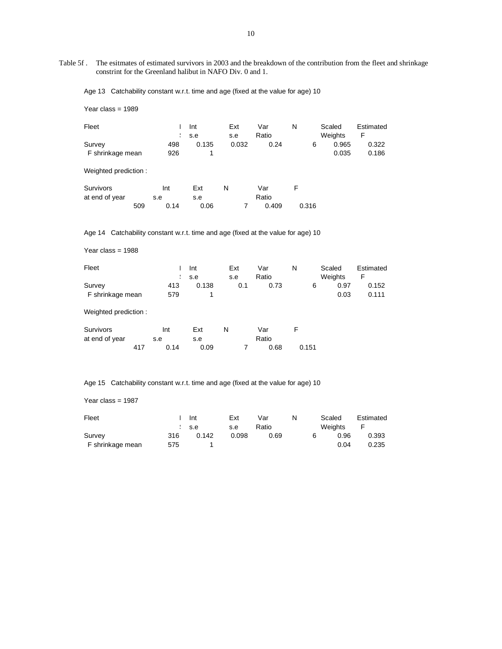Table 5f . The esitmates of estimated survivors in 2003 and the breakdown of the contribution from the fleet and shrinkage constrint for the Greenland halibut in NAFO Div. 0 and 1.

Age 13 Catchability constant w.r.t. time and age (fixed at the value for age) 10

Year class = 1989

| Fleet                      |            | Int<br>s.e | Ext<br>s.e | Var<br>Ratio | N | Scaled<br>Weights   | Estimated<br>F |
|----------------------------|------------|------------|------------|--------------|---|---------------------|----------------|
| Survey<br>F shrinkage mean | 498<br>926 | 0.135      | 0.032      | 0.24         |   | 0.965<br>6<br>0.035 | 0.322<br>0.186 |
| Weighted prediction:       |            |            |            |              |   |                     |                |

| Survivors      |     | Int  | Ext  |  | Var   | ⊢     |
|----------------|-----|------|------|--|-------|-------|
| at end of year |     | s.e  | s.e  |  | Ratio |       |
|                | 509 | 0.14 | 0.06 |  | 0.409 | 0.316 |

Age 14 Catchability constant w.r.t. time and age (fixed at the value for age) 10

Year class = 1988

| Fleet            |     | Int              | Ext | Var   | N |   | Scaled  | Estimated |
|------------------|-----|------------------|-----|-------|---|---|---------|-----------|
|                  |     | $\therefore$ s.e | s.e | Ratio |   |   | Weights | F         |
| Survey           | 413 | 0.138            | 0.1 | 0.73  |   | 6 | 0.97    | 0.152     |
| F shrinkage mean | 579 |                  |     |       |   |   | 0.03    | 0.111     |

Weighted prediction :

| Survivors      |     | Int  | Ext  | N | Var   |       |
|----------------|-----|------|------|---|-------|-------|
| at end of year |     | s.e  | s.e  |   | Ratio |       |
|                | 417 | 0.14 | 0.09 |   | 0.68  | 0.151 |

Age 15 Catchability constant w.r.t. time and age (fixed at the value for age) 10

Year class = 1987

| Fleet            |     | Int              | Ext   | Var   | N |   | Scaled  | Estimated |
|------------------|-----|------------------|-------|-------|---|---|---------|-----------|
|                  |     | $\therefore$ s.e | s.e   | Ratio |   |   | Weights |           |
| Survey           | 316 | 0.142            | 0.098 | 0.69  |   | 6 | 0.96    | 0.393     |
| F shrinkage mean | 575 |                  |       |       |   |   | 0.04    | 0.235     |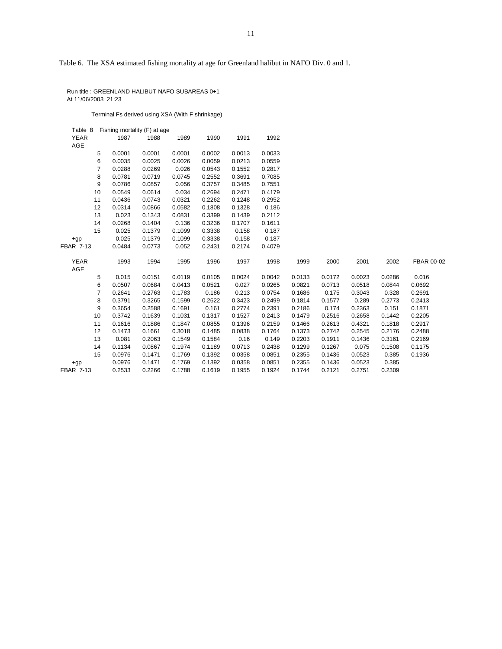Table 6. The XSA estimated fishing mortality at age for Greenland halibut in NAFO Div. 0 and 1.

 Run title : GREENLAND HALIBUT NAFO SUBAREAS 0+1 At 11/06/2003 21:23

Terminal Fs derived using XSA (With F shrinkage)

| Table 8          |                | Fishing mortality (F) at age |        |        |        |        |        |        |        |        |        |            |
|------------------|----------------|------------------------------|--------|--------|--------|--------|--------|--------|--------|--------|--------|------------|
| <b>YEAR</b>      |                | 1987                         | 1988   | 1989   | 1990   | 1991   | 1992   |        |        |        |        |            |
| AGE              |                |                              |        |        |        |        |        |        |        |        |        |            |
|                  | 5              | 0.0001                       | 0.0001 | 0.0001 | 0.0002 | 0.0013 | 0.0033 |        |        |        |        |            |
|                  | 6              | 0.0035                       | 0.0025 | 0.0026 | 0.0059 | 0.0213 | 0.0559 |        |        |        |        |            |
|                  | $\overline{7}$ | 0.0288                       | 0.0269 | 0.026  | 0.0543 | 0.1552 | 0.2817 |        |        |        |        |            |
|                  | 8              | 0.0781                       | 0.0719 | 0.0745 | 0.2552 | 0.3691 | 0.7085 |        |        |        |        |            |
|                  | 9              | 0.0786                       | 0.0857 | 0.056  | 0.3757 | 0.3485 | 0.7551 |        |        |        |        |            |
|                  | 10             | 0.0549                       | 0.0614 | 0.034  | 0.2694 | 0.2471 | 0.4179 |        |        |        |        |            |
|                  | 11             | 0.0436                       | 0.0743 | 0.0321 | 0.2262 | 0.1248 | 0.2952 |        |        |        |        |            |
|                  | 12             | 0.0314                       | 0.0866 | 0.0582 | 0.1808 | 0.1328 | 0.186  |        |        |        |        |            |
|                  | 13             | 0.023                        | 0.1343 | 0.0831 | 0.3399 | 0.1439 | 0.2112 |        |        |        |        |            |
|                  | 14             | 0.0268                       | 0.1404 | 0.136  | 0.3236 | 0.1707 | 0.1611 |        |        |        |        |            |
|                  | 15             | 0.025                        | 0.1379 | 0.1099 | 0.3338 | 0.158  | 0.187  |        |        |        |        |            |
| $+qp$            |                | 0.025                        | 0.1379 | 0.1099 | 0.3338 | 0.158  | 0.187  |        |        |        |        |            |
| FBAR 7-13        |                | 0.0484                       | 0.0773 | 0.052  | 0.2431 | 0.2174 | 0.4079 |        |        |        |        |            |
| <b>YEAR</b>      |                | 1993                         | 1994   | 1995   | 1996   |        |        | 1999   | 2000   | 2001   | 2002   | FBAR 00-02 |
| AGE              |                |                              |        |        |        | 1997   | 1998   |        |        |        |        |            |
|                  | 5              | 0.015                        | 0.0151 | 0.0119 | 0.0105 | 0.0024 | 0.0042 | 0.0133 | 0.0172 | 0.0023 | 0.0286 | 0.016      |
|                  | 6              | 0.0507                       | 0.0684 | 0.0413 | 0.0521 | 0.027  | 0.0265 | 0.0821 | 0.0713 | 0.0518 | 0.0844 | 0.0692     |
|                  | $\overline{7}$ | 0.2641                       | 0.2763 | 0.1783 | 0.186  | 0.213  | 0.0754 | 0.1686 | 0.175  | 0.3043 | 0.328  | 0.2691     |
|                  | 8              | 0.3791                       | 0.3265 | 0.1599 | 0.2622 | 0.3423 | 0.2499 | 0.1814 | 0.1577 | 0.289  | 0.2773 | 0.2413     |
|                  | 9              | 0.3654                       | 0.2588 | 0.1691 | 0.161  | 0.2774 | 0.2391 | 0.2186 | 0.174  | 0.2363 | 0.151  | 0.1871     |
|                  | 10             | 0.3742                       | 0.1639 | 0.1031 | 0.1317 | 0.1527 | 0.2413 | 0.1479 | 0.2516 | 0.2658 | 0.1442 | 0.2205     |
|                  | 11             | 0.1616                       | 0.1886 | 0.1847 | 0.0855 | 0.1396 | 0.2159 | 0.1466 | 0.2613 | 0.4321 | 0.1818 | 0.2917     |
|                  | 12             | 0.1473                       | 0.1661 | 0.3018 | 0.1485 | 0.0838 | 0.1764 | 0.1373 | 0.2742 | 0.2545 | 0.2176 | 0.2488     |
|                  | 13             | 0.081                        | 0.2063 | 0.1549 | 0.1584 | 0.16   | 0.149  | 0.2203 | 0.1911 | 0.1436 | 0.3161 | 0.2169     |
|                  | 14             | 0.1134                       | 0.0867 | 0.1974 | 0.1189 | 0.0713 | 0.2438 | 0.1299 | 0.1267 | 0.075  | 0.1508 | 0.1175     |
|                  | 15             | 0.0976                       | 0.1471 | 0.1769 | 0.1392 | 0.0358 | 0.0851 | 0.2355 | 0.1436 | 0.0523 | 0.385  | 0.1936     |
| $+qp$            |                | 0.0976                       | 0.1471 | 0.1769 | 0.1392 | 0.0358 | 0.0851 | 0.2355 | 0.1436 | 0.0523 | 0.385  |            |
| <b>FBAR 7-13</b> |                | 0.2533                       | 0.2266 | 0.1788 | 0.1619 | 0.1955 | 0.1924 | 0.1744 | 0.2121 | 0.2751 | 0.2309 |            |
|                  |                |                              |        |        |        |        |        |        |        |        |        |            |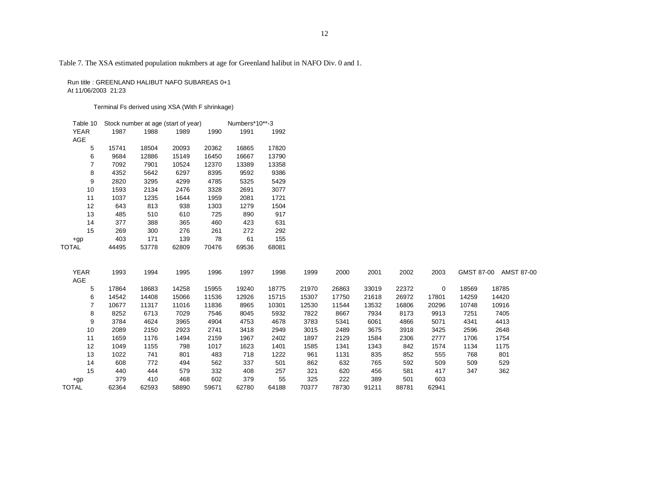Table 7. The XSA estimated population nukmbers at age for Greenland halibut in NAFO Div. 0 and 1.

 Run title : GREENLAND HALIBUT NAFO SUBAREAS 0+1 At 11/06/2003 21:23

Terminal Fs derived using XSA (With F shrinkage)

| Table 10    |       | Stock number at age (start of year) | Numbers*10**-3 |       |       |       |
|-------------|-------|-------------------------------------|----------------|-------|-------|-------|
| <b>YEAR</b> | 1987  | 1988                                | 1989           | 1990  | 1991  | 1992  |
| <b>AGE</b>  |       |                                     |                |       |       |       |
| 5           | 15741 | 18504                               | 20093          | 20362 | 16865 | 17820 |
| 6           | 9684  | 12886                               | 15149          | 16450 | 16667 | 13790 |
| 7           | 7092  | 7901                                | 10524          | 12370 | 13389 | 13358 |
| 8           | 4352  | 5642                                | 6297           | 8395  | 9592  | 9386  |
| 9           | 2820  | 3295                                | 4299           | 4785  | 5325  | 5429  |
| 10          | 1593  | 2134                                | 2476           | 3328  | 2691  | 3077  |
| 11          | 1037  | 1235                                | 1644           | 1959  | 2081  | 1721  |
| 12          | 643   | 813                                 | 938            | 1303  | 1279  | 1504  |
| 13          | 485   | 510                                 | 610            | 725   | 890   | 917   |
| 14          | 377   | 388                                 | 365            | 460   | 423   | 631   |
| 15          | 269   | 300                                 | 276            | 261   | 272   | 292   |
| $+gp$       | 403   | 171                                 | 139            | 78    | 61    | 155   |
| TOTAL       | 44495 | 53778                               | 62809          | 70476 | 69536 | 68081 |

| <b>YEAR</b>  | 1993  | 1994  | 1995  | 1996  | 1997  | 1998  | 1999  | 2000  | 2001  | 2002  | 2003  | GMST 87-00 | AMST 87-00 |
|--------------|-------|-------|-------|-------|-------|-------|-------|-------|-------|-------|-------|------------|------------|
| AGE          |       |       |       |       |       |       |       |       |       |       |       |            |            |
| 5            | 17864 | 18683 | 14258 | 15955 | 19240 | 18775 | 21970 | 26863 | 33019 | 22372 | 0     | 18569      | 18785      |
| 6            | 14542 | 14408 | 15066 | 11536 | 12926 | 15715 | 15307 | 17750 | 21618 | 26972 | 17801 | 14259      | 14420      |
|              | 10677 | 11317 | 11016 | 11836 | 8965  | 10301 | 12530 | 11544 | 13532 | 16806 | 20296 | 10748      | 10916      |
| 8            | 8252  | 6713  | 7029  | 7546  | 8045  | 5932  | 7822  | 8667  | 7934  | 8173  | 9913  | 7251       | 7405       |
| 9            | 3784  | 4624  | 3965  | 4904  | 4753  | 4678  | 3783  | 5341  | 6061  | 4866  | 5071  | 4341       | 4413       |
| 10           | 2089  | 2150  | 2923  | 2741  | 3418  | 2949  | 3015  | 2489  | 3675  | 3918  | 3425  | 2596       | 2648       |
| 11           | 1659  | 1176  | 1494  | 2159  | 1967  | 2402  | 1897  | 2129  | 1584  | 2306  | 2777  | 1706       | 1754       |
| 12           | 1049  | 1155  | 798   | 1017  | 1623  | 1401  | 1585  | 1341  | 1343  | 842   | 1574  | 1134       | 1175       |
| 13           | 1022  | 741   | 801   | 483   | 718   | 1222  | 961   | 1131  | 835   | 852   | 555   | 768        | 801        |
| 14           | 608   | 772   | 494   | 562   | 337   | 501   | 862   | 632   | 765   | 592   | 509   | 509        | 529        |
| 15           | 440   | 444   | 579   | 332   | 408   | 257   | 321   | 620   | 456   | 581   | 417   | 347        | 362        |
| $+gp$        | 379   | 410   | 468   | 602   | 379   | 55    | 325   | 222   | 389   | 501   | 603   |            |            |
| <b>TOTAL</b> | 62364 | 62593 | 58890 | 59671 | 62780 | 64188 | 70377 | 78730 | 91211 | 88781 | 62941 |            |            |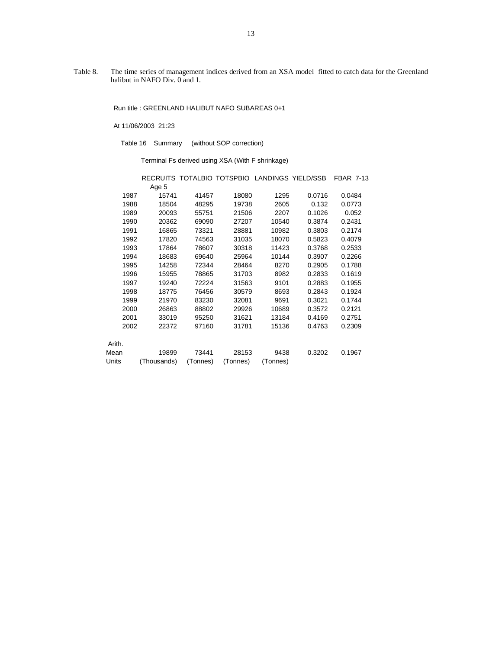Table 8. The time series of management indices derived from an XSA model fitted to catch data for the Greenland halibut in NAFO Div. 0 and 1.

Run title : GREENLAND HALIBUT NAFO SUBAREAS 0+1

At 11/06/2003 21:23

Table 16 Summary (without SOP correction)

Terminal Fs derived using XSA (With F shrinkage)

|        |             |          | RECRUITS TOTALBIO TOTSPBIO LANDINGS YIELD/SSB |          |        | <b>FBAR 7-13</b> |
|--------|-------------|----------|-----------------------------------------------|----------|--------|------------------|
|        | Age 5       |          |                                               |          |        |                  |
| 1987   | 15741       | 41457    | 18080                                         | 1295     | 0.0716 | 0.0484           |
| 1988   | 18504       | 48295    | 19738                                         | 2605     | 0.132  | 0.0773           |
| 1989   | 20093       | 55751    | 21506                                         | 2207     | 0.1026 | 0.052            |
| 1990   | 20362       | 69090    | 27207                                         | 10540    | 0.3874 | 0.2431           |
| 1991   | 16865       | 73321    | 28881                                         | 10982    | 0.3803 | 0.2174           |
| 1992   | 17820       | 74563    | 31035                                         | 18070    | 0.5823 | 0.4079           |
| 1993   | 17864       | 78607    | 30318                                         | 11423    | 0.3768 | 0.2533           |
| 1994   | 18683       | 69640    | 25964                                         | 10144    | 0.3907 | 0.2266           |
| 1995   | 14258       | 72344    | 28464                                         | 8270     | 0.2905 | 0.1788           |
| 1996   | 15955       | 78865    | 31703                                         | 8982     | 0.2833 | 0.1619           |
| 1997   | 19240       | 72224    | 31563                                         | 9101     | 0.2883 | 0.1955           |
| 1998   | 18775       | 76456    | 30579                                         | 8693     | 0.2843 | 0.1924           |
| 1999   | 21970       | 83230    | 32081                                         | 9691     | 0.3021 | 0.1744           |
| 2000   | 26863       | 88802    | 29926                                         | 10689    | 0.3572 | 0.2121           |
| 2001   | 33019       | 95250    | 31621                                         | 13184    | 0.4169 | 0.2751           |
| 2002   | 22372       | 97160    | 31781                                         | 15136    | 0.4763 | 0.2309           |
| Arith. |             |          |                                               |          |        |                  |
| Mean   | 19899       | 73441    | 28153                                         | 9438     | 0.3202 | 0.1967           |
| Units  | (Thousands) | (Tonnes) | (Tonnes)                                      | (Tonnes) |        |                  |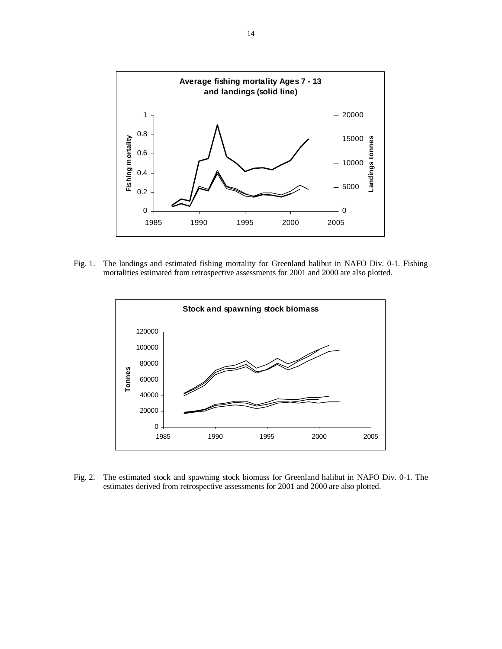

Fig. 1. The landings and estimated fishing mortality for Greenland halibut in NAFO Div. 0-1. Fishing mortalities estimated from retrospective assessments for 2001 and 2000 are also plotted.



Fig. 2. The estimated stock and spawning stock biomass for Greenland halibut in NAFO Div. 0-1. The estimates derived from retrospective assessments for 2001 and 2000 are also plotted.